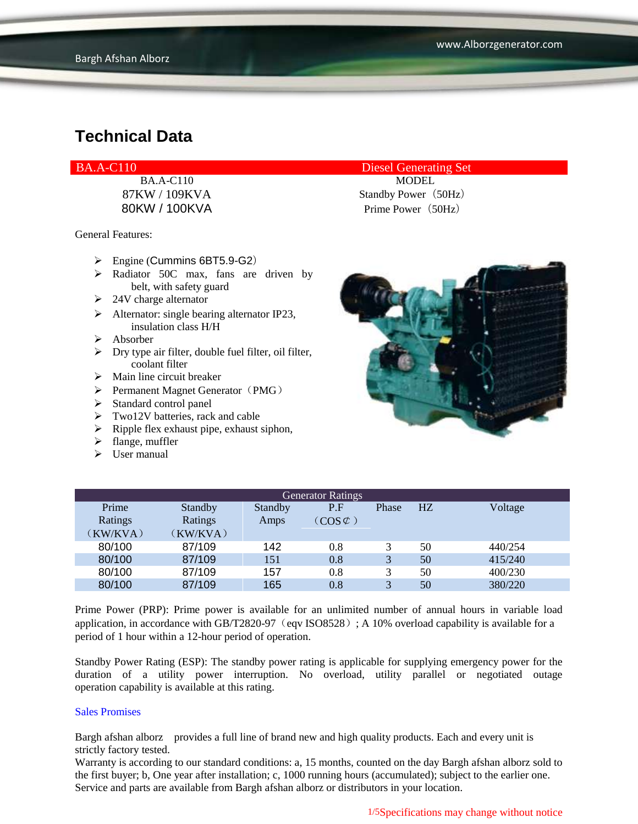BA.A-C110 Diesel Generating Set

General Features:

- Engine (Cummins 6BT5.9-G2)
- > Radiator 50C max, fans are driven by belt, with safety guard
- $\geq 24V$  charge alternator
- $\triangleright$  Alternator: single bearing alternator IP23, insulation class H/H
- $\triangleright$  Absorber
- $\triangleright$  Dry type air filter, double fuel filter, oil filter, coolant filter
- $\triangleright$  Main line circuit breaker
- $\triangleright$  Permanent Magnet Generator (PMG)
- $\triangleright$  Standard control panel
- $\triangleright$  Two12V batteries, rack and cable
- $\triangleright$  Ripple flex exhaust pipe, exhaust siphon,
- $\blacktriangleright$  flange, muffler
- $\triangleright$  User manual

BA.A-C110 MODEL 87KW / 109KVA Standby Power (50Hz) 80KW / 100KVA Prime Power(50Hz)



| <b>Generator Ratings</b> |          |         |                     |              |    |         |
|--------------------------|----------|---------|---------------------|--------------|----|---------|
| Prime                    | Standby  | Standby | P.F                 | Phase        | HZ | Voltage |
| Ratings                  | Ratings  | Amps    | $(COS \mathcal{L})$ |              |    |         |
| (KW/KVA)                 | (KW/KVA) |         |                     |              |    |         |
| 80/100                   | 87/109   | 142     | 0.8                 |              | 50 | 440/254 |
| 80/100                   | 87/109   | 151     | 0.8                 | 3            | 50 | 415/240 |
| 80/100                   | 87/109   | 157     | 0.8                 |              | 50 | 400/230 |
| 80/100                   | 87/109   | 165     | 0.8                 | $\mathbf{R}$ | 50 | 380/220 |

Prime Power (PRP): Prime power is available for an unlimited number of annual hours in variable load application, in accordance with GB/T2820-97 (eqv ISO8528); A 10% overload capability is available for a period of 1 hour within a 12-hour period of operation.

Standby Power Rating (ESP): The standby power rating is applicable for supplying emergency power for the duration of a utility power interruption. No overload, utility parallel or negotiated outage operation capability is available at this rating.

#### Sales Promises

Bargh afshan alborz provides a full line of brand new and high quality products. Each and every unit is strictly factory tested.

Warranty is according to our standard conditions: a, 15 months, counted on the day Bargh afshan alborz sold to the first buyer; b, One year after installation; c, 1000 running hours (accumulated); subject to the earlier one. Service and parts are available from Bargh afshan alborz or distributors in your location.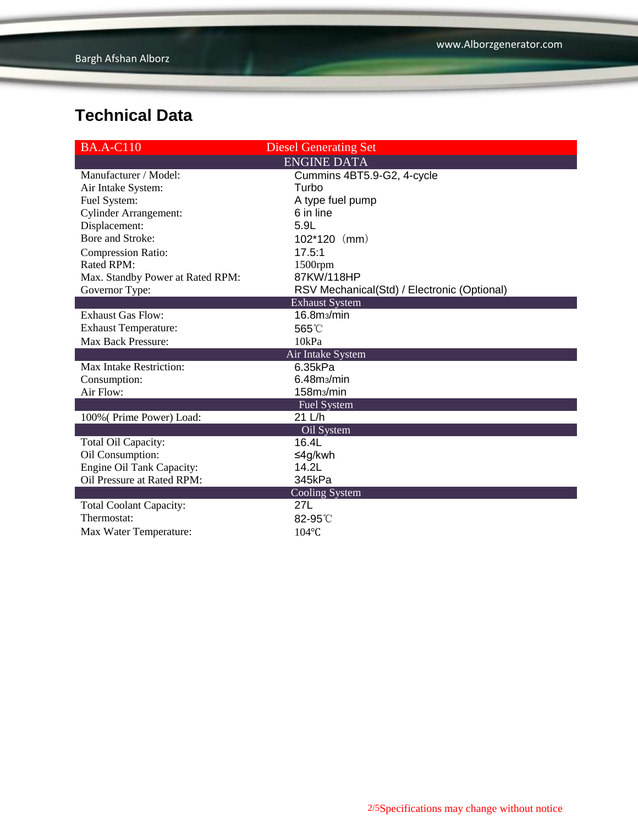| <b>BA.A-C110</b>                 | <b>Diesel Generating Set</b>                |  |  |  |
|----------------------------------|---------------------------------------------|--|--|--|
| <b>ENGINE DATA</b>               |                                             |  |  |  |
| Manufacturer / Model:            | Cummins 4BT5.9-G2, 4-cycle                  |  |  |  |
| Air Intake System:               | Turbo                                       |  |  |  |
| Fuel System:                     | A type fuel pump                            |  |  |  |
| <b>Cylinder Arrangement:</b>     | 6 in line                                   |  |  |  |
| Displacement:                    | 5.9L                                        |  |  |  |
| Bore and Stroke:                 | $102*120$ (mm)                              |  |  |  |
| <b>Compression Ratio:</b>        | 17.5:1                                      |  |  |  |
| Rated RPM:                       | $1500$ rpm                                  |  |  |  |
| Max. Standby Power at Rated RPM: | 87KW/118HP                                  |  |  |  |
| Governor Type:                   | RSV Mechanical(Std) / Electronic (Optional) |  |  |  |
|                                  | <b>Exhaust System</b>                       |  |  |  |
| <b>Exhaust Gas Flow:</b>         | 16.8m <sub>3</sub> /min                     |  |  |  |
| <b>Exhaust Temperature:</b>      | 565°C                                       |  |  |  |
| <b>Max Back Pressure:</b>        | 10kPa                                       |  |  |  |
| Air Intake System                |                                             |  |  |  |
| Max Intake Restriction:          | 6.35kPa                                     |  |  |  |
| Consumption:                     | 6.48m <sub>3</sub> /min                     |  |  |  |
| Air Flow:                        | 158m <sub>3</sub> /min                      |  |  |  |
|                                  | Fuel System                                 |  |  |  |
| 100% (Prime Power) Load:         | 21 L/h                                      |  |  |  |
|                                  | Oil System                                  |  |  |  |
| Total Oil Capacity:              | 16.4L                                       |  |  |  |
| Oil Consumption:                 | ≤4g/kwh                                     |  |  |  |
| Engine Oil Tank Capacity:        | 14.2L                                       |  |  |  |
| Oil Pressure at Rated RPM:       | 345kPa                                      |  |  |  |
| Cooling System                   |                                             |  |  |  |
| <b>Total Coolant Capacity:</b>   | 27L                                         |  |  |  |
| Thermostat:                      | 82-95°C                                     |  |  |  |
| Max Water Temperature:           | 104°C                                       |  |  |  |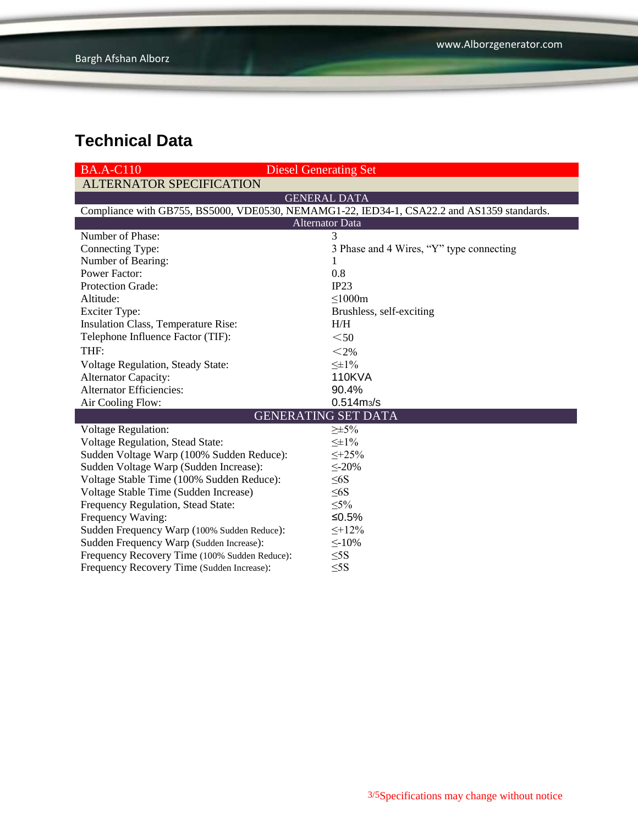| <b>BA.A-C110</b>                                                                           | <b>Diesel Generating Set</b>             |  |  |  |  |
|--------------------------------------------------------------------------------------------|------------------------------------------|--|--|--|--|
| <b>ALTERNATOR SPECIFICATION</b>                                                            |                                          |  |  |  |  |
| <b>GENERAL DATA</b>                                                                        |                                          |  |  |  |  |
| Compliance with GB755, BS5000, VDE0530, NEMAMG1-22, IED34-1, CSA22.2 and AS1359 standards. |                                          |  |  |  |  |
| <b>Alternator Data</b>                                                                     |                                          |  |  |  |  |
| Number of Phase:                                                                           | 3                                        |  |  |  |  |
| Connecting Type:                                                                           | 3 Phase and 4 Wires, "Y" type connecting |  |  |  |  |
| Number of Bearing:                                                                         |                                          |  |  |  |  |
| <b>Power Factor:</b>                                                                       | 0.8                                      |  |  |  |  |
| Protection Grade:                                                                          | IP23                                     |  |  |  |  |
| Altitude:                                                                                  | $\leq$ 1000m                             |  |  |  |  |
| <b>Exciter Type:</b>                                                                       | Brushless, self-exciting                 |  |  |  |  |
| Insulation Class, Temperature Rise:                                                        | H/H                                      |  |  |  |  |
| Telephone Influence Factor (TIF):                                                          | $50$                                     |  |  |  |  |
| THF:                                                                                       | $<$ 2%                                   |  |  |  |  |
| Voltage Regulation, Steady State:                                                          | $\leq \pm 1\%$                           |  |  |  |  |
| <b>Alternator Capacity:</b>                                                                | <b>110KVA</b>                            |  |  |  |  |
| <b>Alternator Efficiencies:</b>                                                            | 90.4%                                    |  |  |  |  |
| Air Cooling Flow:                                                                          | $0.514 \, \text{m}$ <sub>3</sub> /s      |  |  |  |  |
|                                                                                            | <b>GENERATING SET DATA</b>               |  |  |  |  |
| <b>Voltage Regulation:</b>                                                                 | $\geq \pm 5\%$                           |  |  |  |  |
| Voltage Regulation, Stead State:                                                           | $\leq \pm 1\%$                           |  |  |  |  |
| Sudden Voltage Warp (100% Sudden Reduce):                                                  | $\leq +25\%$                             |  |  |  |  |
| Sudden Voltage Warp (Sudden Increase):                                                     | $\leq$ -20%                              |  |  |  |  |
| Voltage Stable Time (100% Sudden Reduce):                                                  | $\leq 6S$                                |  |  |  |  |
| Voltage Stable Time (Sudden Increase)                                                      | $\leq 6S$                                |  |  |  |  |
| Frequency Regulation, Stead State:                                                         | $\leq 5\%$                               |  |  |  |  |
| Frequency Waving:                                                                          | ≤0.5%                                    |  |  |  |  |
| Sudden Frequency Warp (100% Sudden Reduce):                                                | $\leq +12\%$                             |  |  |  |  |
| Sudden Frequency Warp (Sudden Increase):                                                   | $\leq$ -10%                              |  |  |  |  |
| Frequency Recovery Time (100% Sudden Reduce):                                              | $\leq$ 5S                                |  |  |  |  |
| Frequency Recovery Time (Sudden Increase):                                                 | $\leq$ 5S                                |  |  |  |  |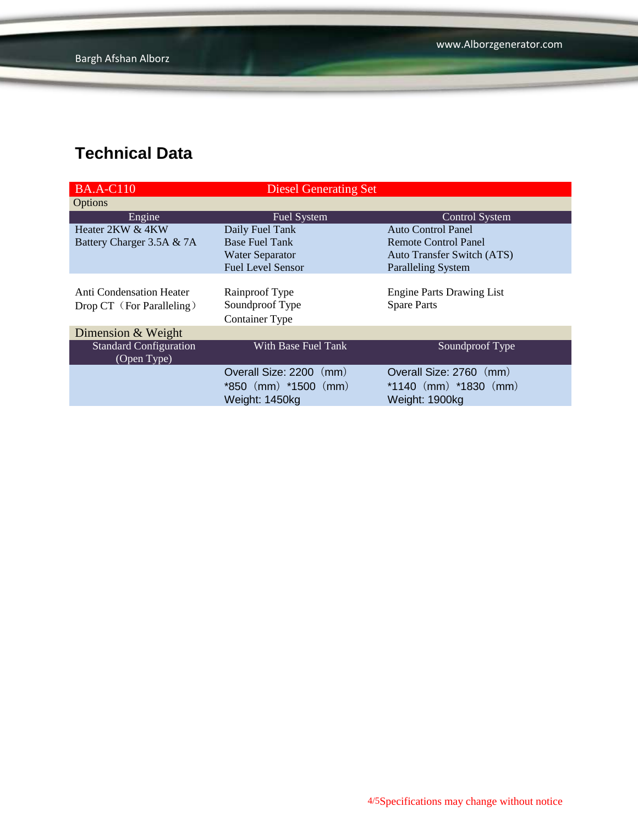| <b>BA.A-C110</b>                | <b>Diesel Generating Set</b> |                                   |
|---------------------------------|------------------------------|-----------------------------------|
| Options                         |                              |                                   |
| Engine                          | Fuel System                  | <b>Control System</b>             |
| Heater 2KW & 4KW                | Daily Fuel Tank              | Auto Control Panel                |
| Battery Charger 3.5A & 7A       | <b>Base Fuel Tank</b>        | Remote Control Panel              |
|                                 | <b>Water Separator</b>       | <b>Auto Transfer Switch (ATS)</b> |
|                                 | <b>Fuel Level Sensor</b>     | <b>Paralleling System</b>         |
|                                 |                              |                                   |
| <b>Anti Condensation Heater</b> | Rainproof Type               | <b>Engine Parts Drawing List</b>  |
| Drop CT (For Paralleling)       | Soundproof Type              | <b>Spare Parts</b>                |
|                                 | <b>Container Type</b>        |                                   |
| Dimension & Weight              |                              |                                   |
| <b>Standard Configuration</b>   | With Base Fuel Tank          | Soundproof Type                   |
| (Open Type)                     |                              |                                   |
|                                 | Overall Size: 2200 (mm)      | Overall Size: 2760 (mm)           |
|                                 | $*850$ (mm) $*1500$ (mm)     | *1140 $(mm)$ *1830 $(mm)$         |
|                                 | Weight: 1450kg               | Weight: 1900kg                    |